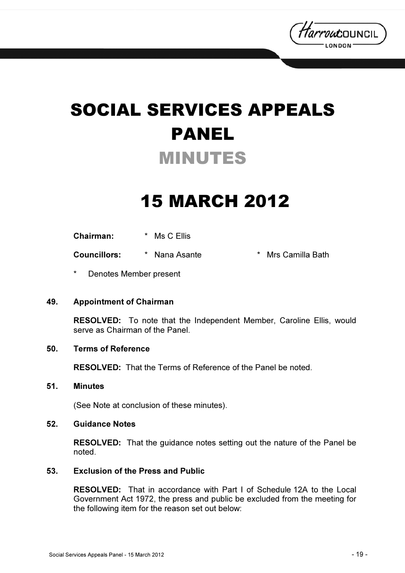

# SOCIAL SERVICES APPEALS PANEL MINUTES

## 15 MARCH 2012

Chairman: \* Ms C Ellis

Councillors: \* Nana Asante \* Mrs Camilla Bath

Denotes Member present

#### 49. Appointment of Chairman

RESOLVED: To note that the Independent Member, Caroline Ellis, would serve as Chairman of the Panel.

#### 50. Terms of Reference

RESOLVED: That the Terms of Reference of the Panel be noted.

#### 51. Minutes

(See Note at conclusion of these minutes).

#### 52. Guidance Notes

RESOLVED: That the guidance notes setting out the nature of the Panel be noted.

#### 53. Exclusion of the Press and Public

RESOLVED: That in accordance with Part I of Schedule 12A to the Local Government Act 1972, the press and public be excluded from the meeting for the following item for the reason set out below: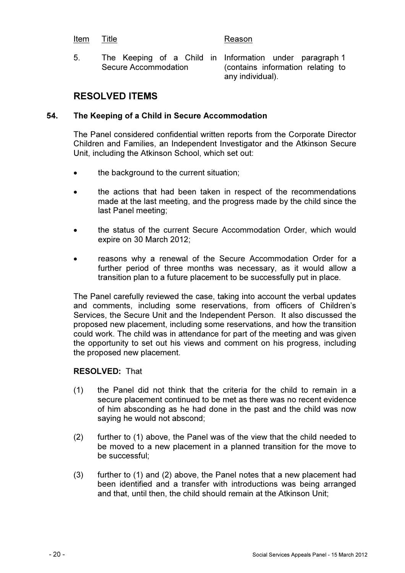#### Item Title **Reason**

5. The Keeping of a Child in Information under paragraph 1 Secure Accommodation

(contains information relating to any individual).

### RESOLVED ITEMS

### 54. The Keeping of a Child in Secure Accommodation

The Panel considered confidential written reports from the Corporate Director Children and Families, an Independent Investigator and the Atkinson Secure Unit, including the Atkinson School, which set out:

- the background to the current situation;
- the actions that had been taken in respect of the recommendations made at the last meeting, and the progress made by the child since the last Panel meeting;
- the status of the current Secure Accommodation Order, which would expire on 30 March 2012;
- reasons why a renewal of the Secure Accommodation Order for a further period of three months was necessary, as it would allow a transition plan to a future placement to be successfully put in place.

The Panel carefully reviewed the case, taking into account the verbal updates and comments, including some reservations, from officers of Children's Services, the Secure Unit and the Independent Person. It also discussed the proposed new placement, including some reservations, and how the transition could work. The child was in attendance for part of the meeting and was given the opportunity to set out his views and comment on his progress, including the proposed new placement.

#### RESOLVED: That

- (1) the Panel did not think that the criteria for the child to remain in a secure placement continued to be met as there was no recent evidence of him absconding as he had done in the past and the child was now saying he would not abscond;
- (2) further to (1) above, the Panel was of the view that the child needed to be moved to a new placement in a planned transition for the move to be successful;
- (3) further to (1) and (2) above, the Panel notes that a new placement had been identified and a transfer with introductions was being arranged and that, until then, the child should remain at the Atkinson Unit;